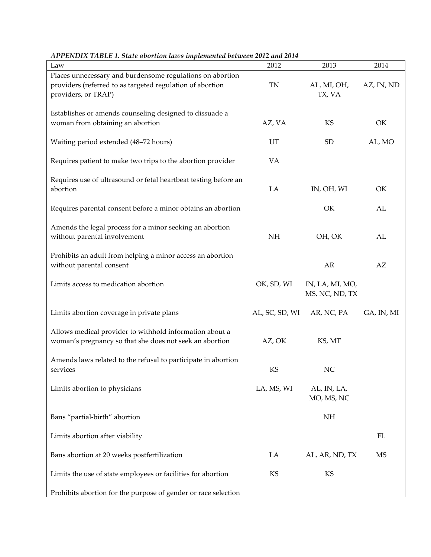| Law                                                                                                                                           | 2012           | 2013                              | 2014       |
|-----------------------------------------------------------------------------------------------------------------------------------------------|----------------|-----------------------------------|------------|
| Places unnecessary and burdensome regulations on abortion<br>providers (referred to as targeted regulation of abortion<br>providers, or TRAP) | TN             | AL, MI, OH,<br>TX, VA             | AZ, IN, ND |
| Establishes or amends counseling designed to dissuade a<br>woman from obtaining an abortion                                                   | AZ, VA         | KS                                | OK         |
| Waiting period extended (48-72 hours)                                                                                                         | UT             | <b>SD</b>                         | AL, MO     |
| Requires patient to make two trips to the abortion provider                                                                                   | <b>VA</b>      |                                   |            |
| Requires use of ultrasound or fetal heartbeat testing before an<br>abortion                                                                   | LA             | IN, OH, WI                        | OK         |
| Requires parental consent before a minor obtains an abortion                                                                                  |                | OK                                | AL         |
| Amends the legal process for a minor seeking an abortion<br>without parental involvement                                                      | <b>NH</b>      | OH, OK                            | AL         |
| Prohibits an adult from helping a minor access an abortion<br>without parental consent                                                        |                | AR                                | AZ         |
| Limits access to medication abortion                                                                                                          | OK, SD, WI     | IN, LA, MI, MO,<br>MS, NC, ND, TX |            |
| Limits abortion coverage in private plans                                                                                                     | AL, SC, SD, WI | AR, NC, PA                        | GA, IN, MI |
| Allows medical provider to withhold information about a<br>woman's pregnancy so that she does not seek an abortion                            | AZ, OK         | KS, MT                            |            |
| Amends laws related to the refusal to participate in abortion<br>services                                                                     | KS             | <b>NC</b>                         |            |
| Limits abortion to physicians                                                                                                                 | LA, MS, WI     | AL, IN, LA,<br>MO, MS, NC         |            |
| Bans "partial-birth" abortion                                                                                                                 |                | NH                                |            |
| Limits abortion after viability                                                                                                               |                |                                   | FL         |
| Bans abortion at 20 weeks postfertilization                                                                                                   | LA             | AL, AR, ND, TX                    | <b>MS</b>  |
| Limits the use of state employees or facilities for abortion                                                                                  | KS             | KS                                |            |
| Prohibits abortion for the purpose of gender or race selection                                                                                |                |                                   |            |

*APPENDIX TABLE 1. State abortion laws implemented between 2012 and 2014*